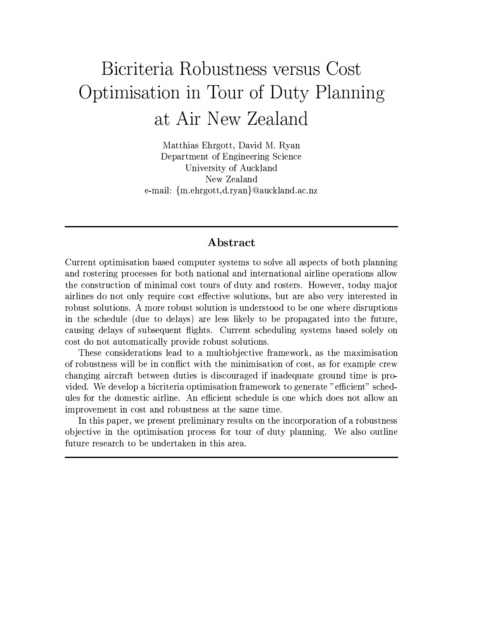# Bicriteria Robustness versus Cost Optimisation in Tour of Duty Planning at Air New Zealand

Matthias Ehrgott, David M. Ryan Department of Engineering Science University of Auckland New Zealand e-mail: {m.ehrgott,d.ryan}@auckland.ac.nz

## Abstract

Current optimisation based computer systems to solve all aspects of both planning and rostering processes for both national and international airline operations allow the construction of minimal cost tours of duty and rosters. However, today major airlines do not only require cost effective solutions, but are also very interested in robust solutions. A more robust solution is understood to be one where disruptions in the schedule (due to delays) are less likely to be propagated into the future, causing delays of subsequent flights. Current scheduling systems based solely on cost do not automatically provide robust solutions.

These considerations lead to a multiobjective framework, as the maximisation of robustness will be in conflict with the minimisation of cost, as for example crew changing aircraft between duties is discouraged if inadequate ground time is provided. We develop a bicriteria optimisation framework to generate "efficient" schedules for the domestic airline. An efficient schedule is one which does not allow an improvement in cost and robustness at the same time.

In this paper, we present preliminary results on the incorporation of a robustness objective in the optimisation process for tour of duty planning. We also outline future research to be undertaken in this area.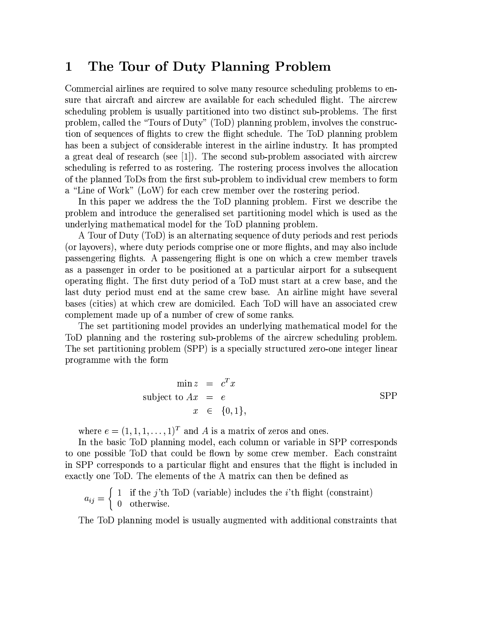#### The Tour of Duty Planning Problem  $\mathbf 1$

Commercial airlines are required to solve many resource scheduling problems to ensure that aircraft and aircrew are available for each scheduled flight. The aircrew scheduling problem is usually partitioned into two distinct sub-problems. The first problem, called the "Tours of Duty" (ToD) planning problem, involves the construction of sequences of flights to crew the flight schedule. The ToD planning problem has been a subject of considerable interest in the airline industry. It has prompted a great deal of research (see [1]). The second sub-problem associated with aircrew scheduling is referred to as rostering. The rostering process involves the allocation of the planned ToDs from the first sub-problem to individual crew members to form a "Line of Work" (LoW) for each crew member over the rostering period.

In this paper we address the the ToD planning problem. First we describe the problem and introduce the generalised set partitioning model which is used as the underlying mathematical model for the ToD planning problem.

A Tour of Duty (ToD) is an alternating sequence of duty periods and rest periods (or layovers), where duty periods comprise one or more flights, and may also include passengering flights. A passengering flight is one on which a crew member travels as a passenger in order to be positioned at a particular airport for a subsequent operating flight. The first duty period of a ToD must start at a crew base, and the last duty period must end at the same crew base. An airline might have several bases (cities) at which crew are domiciled. Each ToD will have an associated crew complement made up of a number of crew of some ranks.

The set partitioning model provides an underlying mathematical model for the ToD planning and the rostering sub-problems of the aircrew scheduling problem. The set partitioning problem (SPP) is a specially structured zero-one integer linear programme with the form

$$
\min z = c^T x
$$
  
subject to  $Ax = e$   
 $x \in \{0, 1\},$  SPP

where  $e = (1, 1, 1, \ldots, 1)^T$  and A is a matrix of zeros and ones.

In the basic ToD planning model, each column or variable in SPP corresponds to one possible ToD that could be flown by some crew member. Each constraint in SPP corresponds to a particular flight and ensures that the flight is included in exactly one ToD. The elements of the A matrix can then be defined as

$$
a_{ij} = \left\{ \begin{array}{ll} 1 & \text{if the } j \text{th } \text{ToD (variable) includes the } i \text{th } \text{flight (constraint)}\\ 0 & \text{otherwise.} \end{array} \right.
$$

The ToD planning model is usually augmented with additional constraints that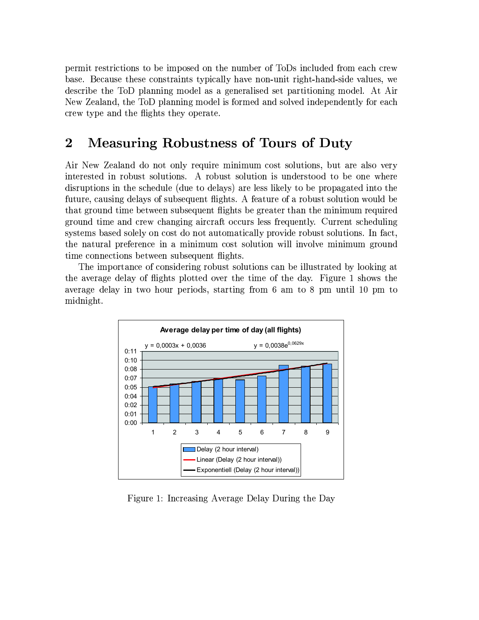permit restrictions to be imposed on the number of ToDs included from each crew base. Because these constraints typically have non-unit right-hand-side values, we describe the ToD planning model as a generalised set partitioning model. At Air New Zealand, the ToD planning model is formed and solved independently for each crew type and the flights they operate.

## $\overline{2}$ **Measuring Robustness of Tours of Duty**

Air New Zealand do not only require minimum cost solutions, but are also very interested in robust solutions. A robust solution is understood to be one where disruptions in the schedule (due to delays) are less likely to be propagated into the future, causing delays of subsequent flights. A feature of a robust solution would be that ground time between subsequent flights be greater than the minimum required ground time and crew changing aircraft occurs less frequently. Current scheduling systems based solely on cost do not automatically provide robust solutions. In fact, the natural preference in a minimum cost solution will involve minimum ground time connections between subsequent flights.

The importance of considering robust solutions can be illustrated by looking at the average delay of flights plotted over the time of the day. Figure 1 shows the average delay in two hour periods, starting from 6 am to 8 pm until 10 pm to midnight.



Figure 1: Increasing Average Delay During the Day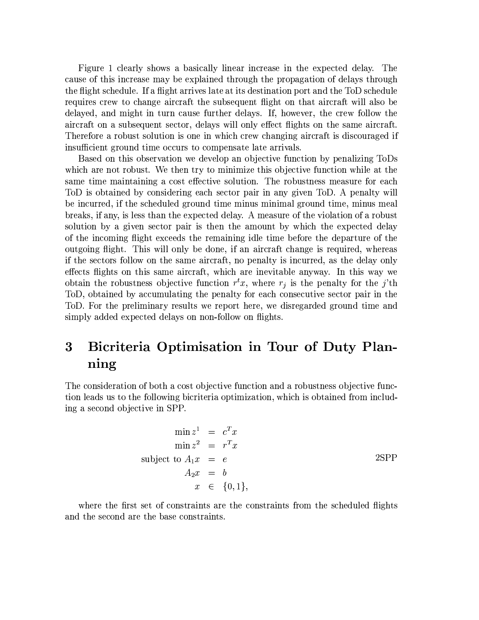Figure 1 clearly shows a basically linear increase in the expected delay. The cause of this increase may be explained through the propagation of delays through the flight schedule. If a flight arrives late at its destination port and the ToD schedule requires crew to change aircraft the subsequent flight on that aircraft will also be delayed, and might in turn cause further delays. If, however, the crew follow the aircraft on a subsequent sector, delays will only effect flights on the same aircraft. Therefore a robust solution is one in which crew changing aircraft is discouraged if insufficient ground time occurs to compensate late arrivals.

Based on this observation we develop an objective function by penalizing ToDs which are not robust. We then try to minimize this objective function while at the same time maintaining a cost effective solution. The robustness measure for each ToD is obtained by considering each sector pair in any given ToD. A penalty will be incurred, if the scheduled ground time minus minimal ground time, minus meal breaks, if any, is less than the expected delay. A measure of the violation of a robust solution by a given sector pair is then the amount by which the expected delay of the incoming flight exceeds the remaining idle time before the departure of the outgoing flight. This will only be done, if an aircraft change is required, whereas if the sectors follow on the same aircraft, no penalty is incurred, as the delay only effects flights on this same aircraft, which are inevitable anyway. In this way we obtain the robustness objective function  $r^t x$ , where  $r_j$  is the penalty for the j'th ToD, obtained by accumulating the penalty for each consecutive sector pair in the ToD. For the preliminary results we report here, we disregarded ground time and simply added expected delays on non-follow on flights.

## Bicriteria Optimisation in Tour of Duty Plan- $\overline{3}$ ning

The consideration of both a cost objective function and a robustness objective function leads us to the following bicriteria optimization, which is obtained from including a second objective in SPP.

$$
\min z^{1} = c^{T} x
$$
  
\n
$$
\min z^{2} = r^{T} x
$$
  
\nsubject to  $A_{1}x = e$   
\n
$$
A_{2}x = b
$$
  
\n
$$
x \in \{0, 1\},
$$

where the first set of constraints are the constraints from the scheduled flights and the second are the base constraints.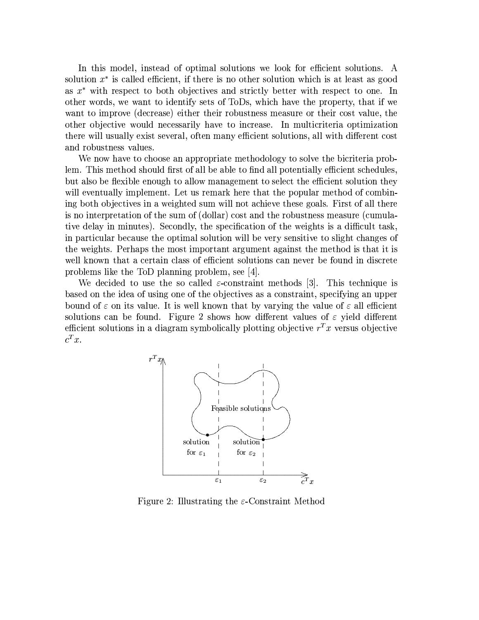In this model, instead of optimal solutions we look for efficient solutions. A solution  $x^*$  is called efficient, if there is no other solution which is at least as good as  $x^*$  with respect to both objectives and strictly better with respect to one. In other words, we want to identify sets of ToDs, which have the property, that if we want to improve (decrease) either their robustness measure or their cost value, the other objective would necessarily have to increase. In multicriteria optimization there will usually exist several, often many efficient solutions, all with different cost and robustness values.

We now have to choose an appropriate methodology to solve the bicriteria problem. This method should first of all be able to find all potentially efficient schedules, but also be flexible enough to allow management to select the efficient solution they will eventually implement. Let us remark here that the popular method of combining both objectives in a weighted sum will not achieve these goals. First of all there is no interpretation of the sum of (dollar) cost and the robustness measure (cumulative delay in minutes). Secondly, the specification of the weights is a difficult task, in particular because the optimal solution will be very sensitive to slight changes of the weights. Perhaps the most important argument against the method is that it is well known that a certain class of efficient solutions can never be found in discrete problems like the ToD planning problem, see [4].

We decided to use the so called  $\varepsilon$ -constraint methods [3]. This technique is based on the idea of using one of the objectives as a constraint, specifying an upper bound of  $\varepsilon$  on its value. It is well known that by varying the value of  $\varepsilon$  all efficient solutions can be found. Figure 2 shows how different values of  $\varepsilon$  yield different efficient solutions in a diagram symbolically plotting objective  $r^T x$  versus objective  $c^T x$ .



Figure 2: Illustrating the  $\varepsilon$ -Constraint Method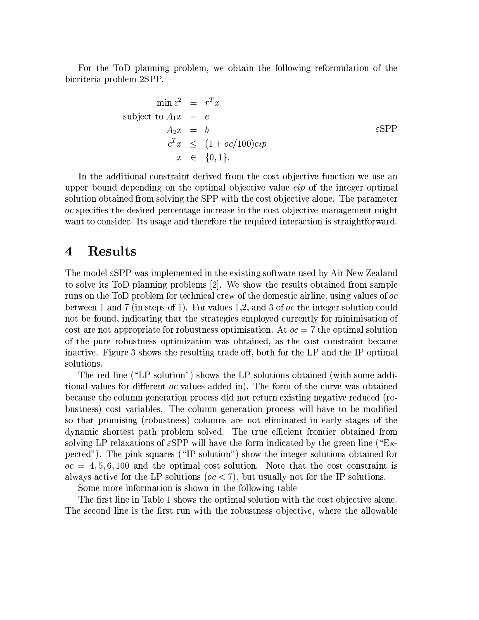For the ToD planning problem, we obtain the following reformulation of the bicriteria problem 2SPP.

$$
\min z^{2} = r^{T} x
$$
\nsubject to  $A_{1}x = e$   
\n
$$
A_{2}x = b
$$
  
\n
$$
c^{T}x \leq (1 + oc/100)cip
$$
  
\n
$$
x \in \{0, 1\}.
$$

In the additional constraint derived from the cost objective function we use an upper bound depending on the optimal objective value *cip* of the integer optimal solution obtained from solving the SPP with the cost objective alone. The parameter oc specifies the desired percentage increase in the cost objective management might want to consider. Its usage and therefore the required interaction is straightforward.

#### **Results**  $\boldsymbol{4}$

The model  $\varepsilon$ SPP was implemented in the existing software used by Air New Zealand to solve its ToD planning problems [2]. We show the results obtained from sample runs on the ToD problem for technical crew of the domestic airline, using values of oc between 1 and 7 (in steps of 1). For values 1,2, and 3 of  $oc$  the integer solution could not be found, indicating that the strategies employed currently for minimisation of cost are not appropriate for robustness optimisation. At  $oc = 7$  the optimal solution of the pure robustness optimization was obtained, as the cost constraint became inactive. Figure 3 shows the resulting trade off, both for the LP and the IP optimal solutions.

The red line ("LP solution") shows the LP solutions obtained (with some additional values for different oc values added in). The form of the curve was obtained because the column generation process did not return existing negative reduced (robustness) cost variables. The column generation process will have to be modified so that promising (robustness) columns are not eliminated in early stages of the dynamic shortest path problem solved. The true efficient frontier obtained from solving LP relaxations of  $\varepsilon$ SPP will have the form indicated by the green line ("Expected"). The pink squares ("IP solution") show the integer solutions obtained for  $oc = 4, 5, 6, 100$  and the optimal cost solution. Note that the cost constraint is always active for the LP solutions ( $oc < 7$ ), but usually not for the IP solutions.

Some more information is shown in the following table

The first line in Table 1 shows the optimal solution with the cost objective alone. The second line is the first run with the robustness objective, where the allowable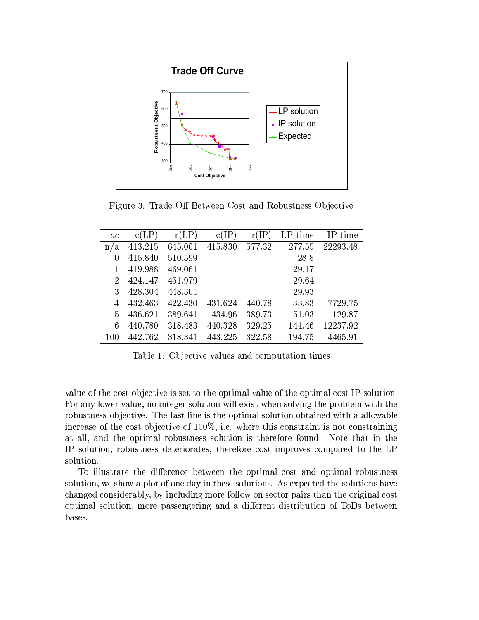

Figure 3: Trade Off Between Cost and Robustness Objective

| $_{oc}$            | c(LP)   | (LP     | IЬ<br>с | IЬ     | LP time | IP time  |
|--------------------|---------|---------|---------|--------|---------|----------|
| ά<br>$\mathbf{n}/$ | 413.215 | 645.061 | 415.830 | 577.32 | 277.55  | 22293.48 |
| 0                  | 415.840 | 510.599 |         |        | 28.8    |          |
| 1                  | 419.988 | 469.061 |         |        | 29.17   |          |
| 2                  | 424.147 | 451.979 |         |        | 29.64   |          |
| 3                  | 428.304 | 448.305 |         |        | 29.93   |          |
| 4                  | 432.463 | 422.430 | 431.624 | 440.78 | 33.83   | 7729.75  |
| 5                  | 436.621 | 389.641 | 434.96  | 389.73 | 51.03   | 129.87   |
| 6                  | 440.780 | 318.483 | 440.328 | 329.25 | 144.46  | 12237.92 |
| 100                | 442.762 | 318.341 | 443.225 | 322.58 | 194.75  | 4465.91  |

Table 1: Objective values and computation times

value of the cost objective is set to the optimal value of the optimal cost IP solution. For any lower value, no integer solution will exist when solving the problem with the robustness objective. The last line is the optimal solution obtained with a allowable increase of the cost objective of  $100\%$ , i.e. where this constraint is not constraining at all, and the optimal robustness solution is therefore found. Note that in the IP solution, robustness deteriorates, therefore cost improves compared to the LP solution.

To illustrate the difference between the optimal cost and optimal robustness solution, we show a plot of one day in these solutions. As expected the solutions have changed considerably, by including more follow on sector pairs than the original cost optimal solution, more passengering and a different distribution of ToDs between bases.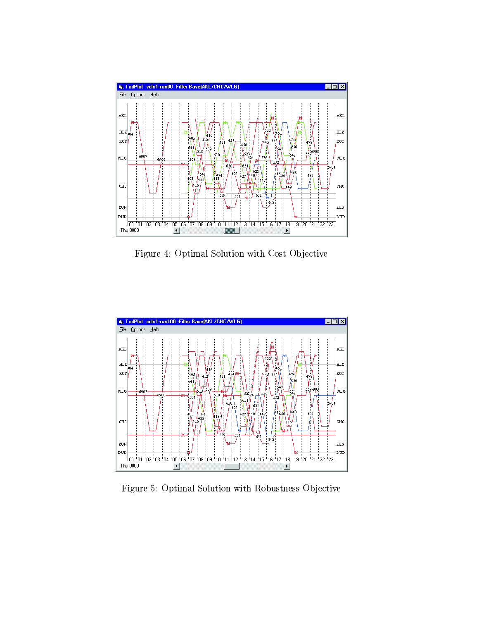

Figure 4: Optimal Solution with Cost Objective



Figure 5: Optimal Solution with Robustness Objective